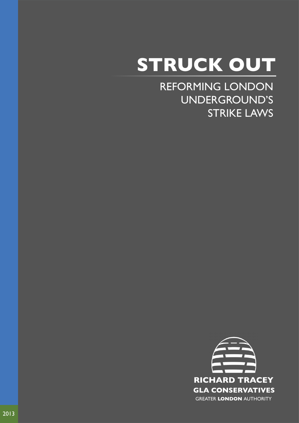# **STRUCK OUT**

REFORMING LONDON UNDERGROUND'S STRIKE LAWS

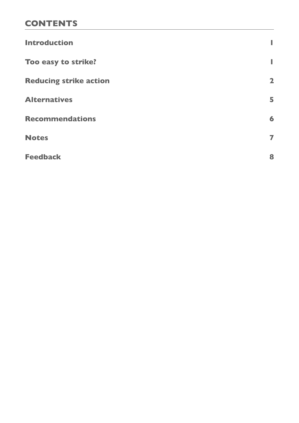# **CONTENTS**

| <b>Introduction</b>           | ı                       |
|-------------------------------|-------------------------|
| Too easy to strike?           | ı                       |
| <b>Reducing strike action</b> | $\overline{\mathbf{2}}$ |
| <b>Alternatives</b>           | 5                       |
| <b>Recommendations</b>        | 6                       |
| <b>Notes</b>                  | 7                       |
| <b>Feedback</b>               | 8                       |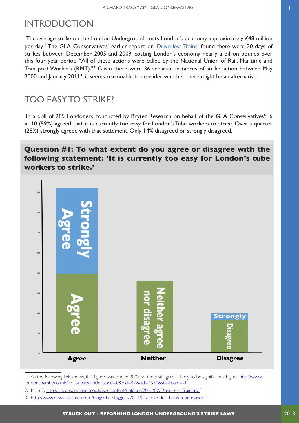# <span id="page-2-0"></span>INTRODUCTION

The average strike on the London Underground costs London's economy approximately £48 million per day.**<sup>1</sup>** The GLA Conservatives' earlier report on ['Driverless Trains](http://glaconservatives.co.uk/campaigns/driverless-trains/)' found there were 20 days of strikes between December 2005 and 2009, costing London's economy nearly a billion pounds over this four year period. "All of these actions were called by the National Union of Rail, Maritime and Transport Workers (RMT)."**<sup>2</sup>** Given there were 36 separate instances of strike action between May 2000 and January 2011**<sup>3</sup>**, it seems reasonable to consider whether there might be an alternative.

# TOO EASY TO STRIKE?

In a poll of 285 Londoners conducted by Bryter Research on behalf of the GLA Conservatives\*, 6 in 10 (59%) agreed that it is currently too easy for London's Tube workers to strike. Over a quarter (28%) strongly agreed with that statement. Only 14% disagreed or strongly disagreed.

### **Question #1: To what extent do you agree or disagree with the following statement: 'It is currently too easy for London's tube workers to strike.'**



<sup>1.</sup> As the following link shows, this figure was true in 2007 so the real figure is likely to be significantly higher. [http://www.](http://www.londonchamber.co.uk/lcc_public/article.asp?id=0&did=47&aid=4550&st=&oaid=-1) [londonchamber.co.uk/lcc\\_public/ar ticle.asp?id=0&did=47&aid=4550&st=&oaid=-1](http://www.londonchamber.co.uk/lcc_public/article.asp?id=0&did=47&aid=4550&st=&oaid=-1)

<sup>2.</sup> Page 2, <http://glaconservatives.co.uk/wp-content/uploads/2012/02/Driverless-Trains.pdf>

<sup>3.</sup> <http://www.newstatesman.com/blogs/the-staggers/2011/01/strike-deal-boris-tube-mayor>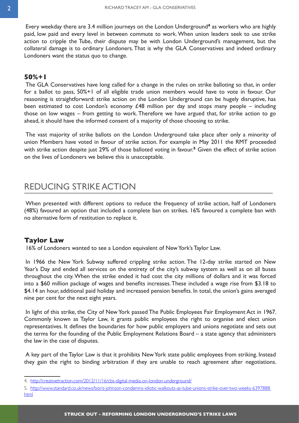<span id="page-3-0"></span>Every weekday there are 3.4 million journeys on the London Underground**<sup>4</sup>** as workers who are highly paid, low paid and every level in between commute to work. When union leaders seek to use strike action to cripple the Tube, their dispute may be with London Underground's management, but the collateral damage is to ordinary Londoners. That is why the GLA Conservatives and indeed ordinary Londoners want the status quo to change.

#### **50%+1**

The GLA Conservatives have long called for a change in the rules on strike balloting so that, in order for a ballot to pass, 50%+1 of all eligible trade union members would have to vote in favour. Our reasoning is straightforward: strike action on the London Underground can be hugely disruptive, has been estimated to cost London's economy  $£48$  million per day and stops many people – including those on low wages – from getting to work. Therefore we have argued that, for strike action to go ahead, it should have the informed consent of a majority of those choosing to strike.

The vast majority of strike ballots on the London Underground take place after only a minority of union Members have voted in favour of strike action. For example in May 2011 the RMT proceeded with strike action despite just 29% of those balloted voting in favour.**<sup>5</sup>** Given the effect of strike action on the lives of Londoners we believe this is unacceptable.

## REDUCING STRIKE ACTION

When presented with different options to reduce the frequency of strike action, half of Londoners (48%) favoured an option that included a complete ban on strikes. 16% favoured a complete ban with no alternative form of restitution to replace it.

#### **Taylor Law**

16% of Londoners wanted to see a London equivalent of New York's Taylor Law.

In 1966 the New York Subway suffered crippling strike action. The 12-day strike started on New Year's Day and ended all services on the entirety of the city's subway system as well as on all buses throughout the city. When the strike ended it had cost the city millions of dollars and it was forced into a \$60 million package of wages and benefits increases. These included a wage rise from \$3.18 to \$4.14 an hour, additional paid holiday and increased pension benefits. In total, the union's gains averaged nine per cent for the next eight years.

In light of this strike, the City of New York passed The Public Employees Fair Employment Act in 1967. Commonly known as Taylor Law, it grants public employees the right to organise and elect union representatives. It defines the boundaries for how public employers and unions negotiate and sets out the terms for the founding of the Public Employment Relations Board – a state agency that administers the law in the case of disputes.

A key part of the Taylor Law is that it prohibits New York state public employees from striking. Instead they gain the right to binding arbitration if they are unable to reach agreement after negotiations.

5.    [http://www.standard.co.uk/news/boris-johnson-condemns-idiotic-walkouts-as-tube-unions-strike-over-two-weeks-6397888.](http://www.standard.co.uk/news/boris-johnson-condemns-idiotic-walkouts-as-tube-unions-strike-over-two-weeks-6397888.html) [html](http://www.standard.co.uk/news/boris-johnson-condemns-idiotic-walkouts-as-tube-unions-strike-over-two-weeks-6397888.html)

<sup>4.</sup> <http://creativetraction.com/2012/11/16/cbs-digital-media-on-london-underground/>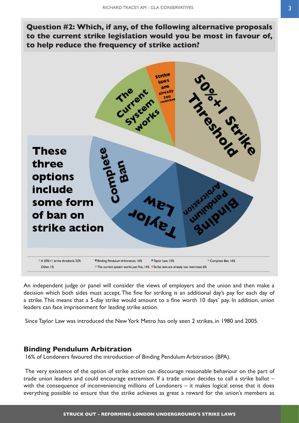**Question #2: Which, if any, of the following alternative proposals to the current strike legislation would you be most in favour of, to help reduce the frequency of strike action?**



An independent judge or panel will consider the views of employers and the union and then make a decision which both sides must accept. The fine for striking is an additional day's pay for each day of a strike. This means that a 5-day strike would amount to a fine worth 10 days' pay. In addition, union leaders can face imprisonment for leading strike action.

Since Taylor Law was introduced the New York Metro has only seen 2 strikes, in 1980 and 2005.

#### **Binding Pendulum Arbitration**

16% of Londoners favoured the introduction of Binding Pendulum Arbitration (BPA).

The very existence of the option of strike action can discourage reasonable behaviour on the part of trade union leaders and could encourage extremism. If a trade union decides to call a strike ballot – with the consequence of inconveniencing millions of Londoners – it makes logical sense that it does everything possible to ensure that the strike achieves as great a reward for the union's members as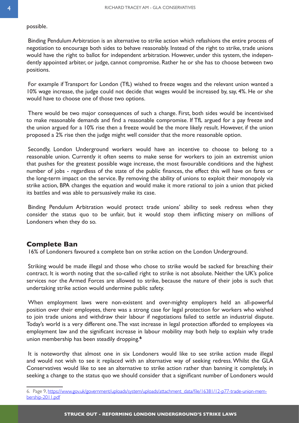#### possible.

Binding Pendulum Arbitration is an alternative to strike action which refashions the entire process of negotiation to encourage both sides to behave reasonably. Instead of the right to strike, trade unions would have the right to ballot for independent arbitration. However, under this system, the independently appointed arbiter, or judge, cannot compromise. Rather he or she has to choose between two positions.

For example if Transport for London (TfL) wished to freeze wages and the relevant union wanted a 10% wage increase, the judge could not decide that wages would be increased by, say, 4%. He or she would have to choose one of those two options.

There would be two major consequences of such a change. First, both sides would be incentivised to make reasonable demands and find a reasonable compromise. If TfL argued for a pay freeze and the union argued for a 10% rise then a freeze would be the more likely result. However, if the union proposed a 2% rise then the judge might well consider that the more reasonable option.

Secondly, London Underground workers would have an incentive to choose to belong to a reasonable union. Currently it often seems to make sense for workers to join an extremist union that pushes for the greatest possible wage increase, the most favourable conditions and the highest number of jobs - regardless of the state of the public finances, the effect this will have on fares or the long-term impact on the service. By removing the ability of unions to exploit their monopoly via strike action, BPA changes the equation and would make it more rational to join a union that picked its battles and was able to persuasively make its case.

Binding Pendulum Arbitration would protect trade unions' ability to seek redress when they consider the status quo to be unfair, but it would stop them inflicting misery on millions of Londoners when they do so.

#### **Complete Ban**

16% of Londoners favoured a complete ban on strike action on the London Underground.

Striking would be made illegal and those who chose to strike would be sacked for breaching their contract. It is worth noting that the so-called right to strike is not absolute. Neither the UK's police services nor the Armed Forces are allowed to strike, because the nature of their jobs is such that undertaking strike action would undermine public safety.

When employment laws were non-existent and over-mighty employers held an all-powerful position over their employees, there was a strong case for legal protection for workers who wished to join trade unions and withdraw their labour if negotiations failed to settle an industrial dispute. Today's world is a very different one. The vast increase in legal protection afforded to employees via employment law and the significant increase in labour mobility may both help to explain why trade union membership has been steadily dropping.**<sup>6</sup>**

It is noteworthy that almost one in six Londoners would like to see strike action made illegal and would not wish to see it replaced with an alternative way of seeking redress. Whilst the GLA Conservatives would like to see an alternative to strike action rather than banning it completely, in seeking a change to the status quo we should consider that a significant number of Londoners would

<sup>6.</sup>Page 9, [https://www.gov.uk/government/uploads/system/uploads/attachment\\_data/file/16381/12-p77-trade-union-mem](https://www.gov.uk/government/uploads/system/uploads/attachment_data/file/16381/12-p77-trade-union-membership-2011.pdf)[bership-2011.pdf](https://www.gov.uk/government/uploads/system/uploads/attachment_data/file/16381/12-p77-trade-union-membership-2011.pdf)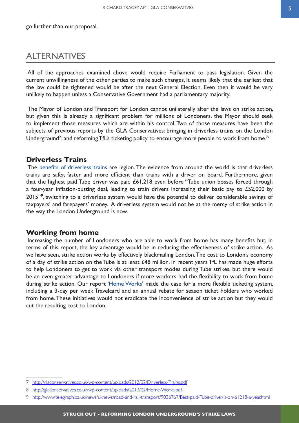<span id="page-6-0"></span>go further than our proposal.

## ALTERNATIVES

All of the approaches examined above would require Parliament to pass legislation. Given the current unwillingness of the other parties to make such changes, it seems likely that the earliest that the law could be tightened would be after the next General Election. Even then it would be very unlikely to happen unless a Conservative Government had a parliamentary majority.

The Mayor of London and Transport for London cannot unilaterally alter the laws on strike action, but given this is already a significant problem for millions of Londoners, the Mayor should seek to implement those measures which are within his control. Two of those measures have been the subjects of previous reports by the GLA Conservatives: bringing in driverless trains on the London Underground**<sup>7</sup>**; and reforming TfL's ticketing policy to encourage more people to work from home.**<sup>8</sup>**

#### **Driverless Trains**

The [benefits of driverless trains](http://glaconservatives.co.uk/campaigns/driverless-trains/) are legion. The evidence from around the world is that driverless trains are safer, faster and more efficient than trains with a driver on board. Furthermore, given that the highest paid Tube driver was paid £61,218 even before "Tube union bosses forced through a four-year inflation-busting deal, leading to train drivers increasing their basic pay to £52,000 by 2015"**<sup>9</sup>**, switching to a driverless system would have the potential to deliver considerable savings of taxpayers' and farepayers' money. A driverless system would not be at the mercy of strike action in the way the London Underground is now.

#### **Working from home**

Increasing the number of Londoners who are able to work from home has many benefits but, in terms of this report, the key advantage would be in reducing the effectiveness of strike action. As we have seen, strike action works by effectively blackmailing London. The cost to London's economy of a day of strike action on the Tube is at least £48 million. In recent years TfL has made huge efforts to help Londoners to get to work via other transport modes during Tube strikes, but there would be an even greater advantage to Londoners if more workers had the flexibility to work from home during strike action. Our report '[Home Works](http://glaconservatives.co.uk/campaigns/home-works/)' made the case for a more flexible ticketing system, including a 3-day per week Travelcard and an annual rebate for season ticket holders who worked from home. These initiatives would not eradicate the inconvenience of strike action but they would cut the resulting cost to London.

<sup>7.</sup> <http://glaconservatives.co.uk/wp-content/uploads/2012/02/Driverless-Trains.pdf>

<sup>8.</sup> <http://glaconservatives.co.uk/wp-content/uploads/2013/02/Home-Works.pdf>

<sup>9.</sup> http://www.telegraph.co.uk/news/uknews/road-and-rail-transport/9036767/Best-paid-Tube-driver-is-on-61218-a-year.html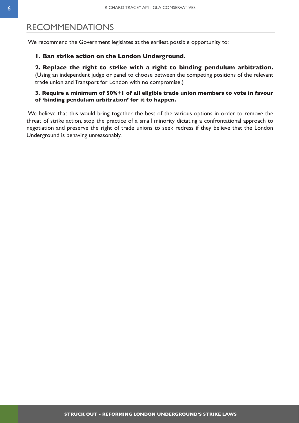## <span id="page-7-0"></span>RECOMMENDATIONS

We recommend the Government legislates at the earliest possible opportunity to:

#### **1. Ban strike action on the London Underground.**

#### **2. Replace the right to strike with a right to binding pendulum arbitration.**

(Using an independent judge or panel to choose between the competing positions of the relevant trade union and Transport for London with no compromise.)

#### **3. Require a minimum of 50%+1 of all eligible trade union members to vote in favour of 'binding pendulum arbitration' for it to happen.**

We believe that this would bring together the best of the various options in order to remove the threat of strike action, stop the practice of a small minority dictating a confrontational approach to negotiation and preserve the right of trade unions to seek redress if they believe that the London Underground is behaving unreasonably.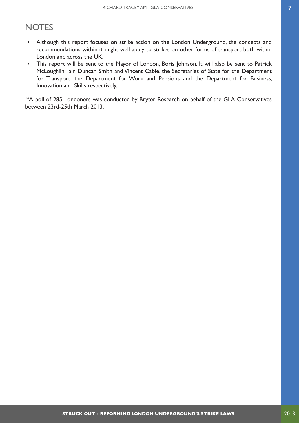## <span id="page-8-0"></span>**NOTES**

- Although this report focuses on strike action on the London Underground, the concepts and recommendations within it might well apply to strikes on other forms of transport both within London and across the UK.
- This report will be sent to the Mayor of London, Boris Johnson. It will also be sent to Patrick McLoughlin, Iain Duncan Smith and Vincent Cable, the Secretaries of State for the Department for Transport, the Department for Work and Pensions and the Department for Business, Innovation and Skills respectively.

\*A poll of 285 Londoners was conducted by Bryter Research on behalf of the GLA Conservatives between 23rd-25th March 2013.